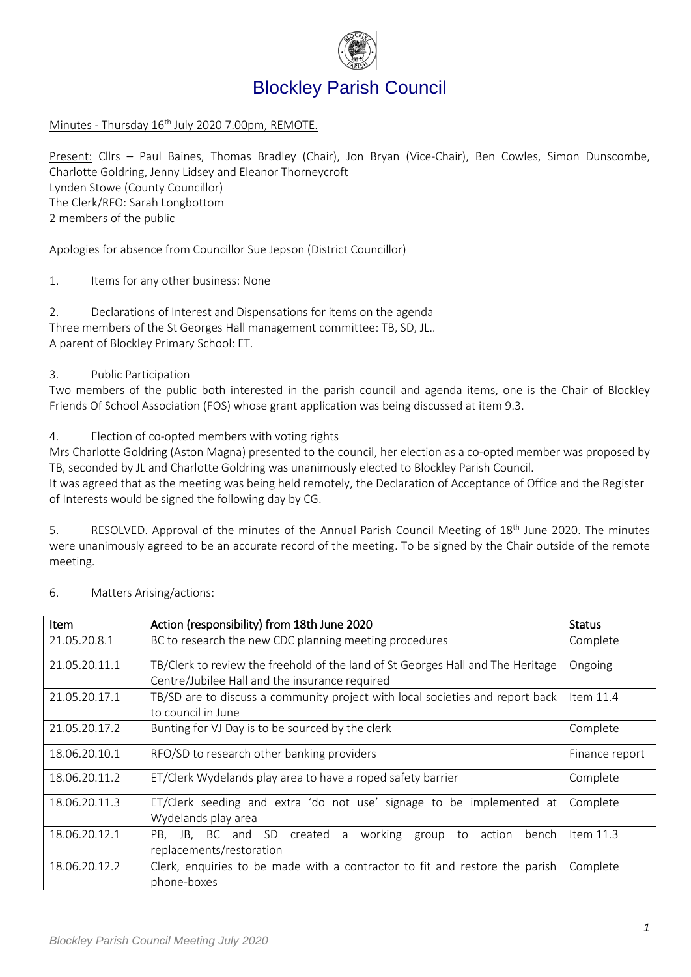

# Blockley Parish Council

Minutes - Thursday 16<sup>th</sup> July 2020 7.00pm, REMOTE.

Present: Cllrs – Paul Baines, Thomas Bradley (Chair), Jon Bryan (Vice-Chair), Ben Cowles, Simon Dunscombe, Charlotte Goldring, Jenny Lidsey and Eleanor Thorneycroft Lynden Stowe (County Councillor) The Clerk/RFO: Sarah Longbottom 2 members of the public

Apologies for absence from Councillor Sue Jepson (District Councillor)

1. Items for any other business: None

2. Declarations of Interest and Dispensations for items on the agenda Three members of the St Georges Hall management committee: TB, SD, JL.. A parent of Blockley Primary School: ET.

### 3. Public Participation

Two members of the public both interested in the parish council and agenda items, one is the Chair of Blockley Friends Of School Association (FOS) whose grant application was being discussed at item 9.3.

4. Election of co-opted members with voting rights

Mrs Charlotte Goldring (Aston Magna) presented to the council, her election as a co-opted member was proposed by TB, seconded by JL and Charlotte Goldring was unanimously elected to Blockley Parish Council.

It was agreed that as the meeting was being held remotely, the Declaration of Acceptance of Office and the Register of Interests would be signed the following day by CG.

5. RESOLVED. Approval of the minutes of the Annual Parish Council Meeting of 18<sup>th</sup> June 2020. The minutes were unanimously agreed to be an accurate record of the meeting. To be signed by the Chair outside of the remote meeting.

| <b>Item</b>   | Action (responsibility) from 18th June 2020                                                                                       | <b>Status</b>  |
|---------------|-----------------------------------------------------------------------------------------------------------------------------------|----------------|
| 21.05.20.8.1  | BC to research the new CDC planning meeting procedures                                                                            | Complete       |
| 21.05.20.11.1 | TB/Clerk to review the freehold of the land of St Georges Hall and The Heritage<br>Centre/Jubilee Hall and the insurance required | Ongoing        |
| 21.05.20.17.1 | TB/SD are to discuss a community project with local societies and report back<br>to council in June                               | Item $11.4$    |
| 21.05.20.17.2 | Bunting for VJ Day is to be sourced by the clerk                                                                                  | Complete       |
| 18.06.20.10.1 | RFO/SD to research other banking providers                                                                                        | Finance report |
| 18.06.20.11.2 | ET/Clerk Wydelands play area to have a roped safety barrier                                                                       | Complete       |
| 18.06.20.11.3 | ET/Clerk seeding and extra 'do not use' signage to be implemented at<br>Wydelands play area                                       | Complete       |
| 18.06.20.12.1 | PB, JB, BC and SD created a working group to<br>action<br>bench<br>replacements/restoration                                       | Item $11.3$    |
| 18.06.20.12.2 | Clerk, enquiries to be made with a contractor to fit and restore the parish<br>phone-boxes                                        | Complete       |

6. Matters Arising/actions: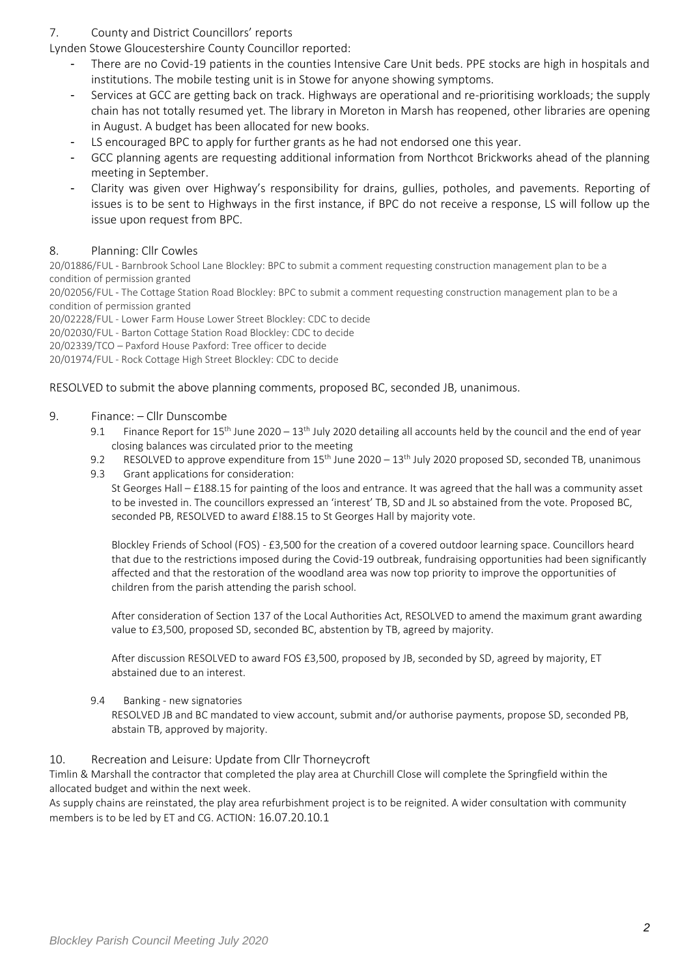## 7. County and District Councillors' reports

Lynden Stowe Gloucestershire County Councillor reported:

- There are no Covid-19 patients in the counties Intensive Care Unit beds. PPE stocks are high in hospitals and institutions. The mobile testing unit is in Stowe for anyone showing symptoms.
- Services at GCC are getting back on track. Highways are operational and re-prioritising workloads; the supply chain has not totally resumed yet. The library in Moreton in Marsh has reopened, other libraries are opening in August. A budget has been allocated for new books.
- LS encouraged BPC to apply for further grants as he had not endorsed one this year.
- GCC planning agents are requesting additional information from Northcot Brickworks ahead of the planning meeting in September.
- Clarity was given over Highway's responsibility for drains, gullies, potholes, and pavements. Reporting of issues is to be sent to Highways in the first instance, if BPC do not receive a response, LS will follow up the issue upon request from BPC.

### 8. Planning: Cllr Cowles

20/01886/FUL - Barnbrook School Lane Blockley: BPC to submit a comment requesting construction management plan to be a condition of permission granted

20/02056/FUL - The Cottage Station Road Blockley: BPC to submit a comment requesting construction management plan to be a condition of permission granted

20/02228/FUL - Lower Farm House Lower Street Blockley: CDC to decide

20/02030/FUL - Barton Cottage Station Road Blockley: CDC to decide

20/02339/TCO – Paxford House Paxford: Tree officer to decide

20/01974/FUL - Rock Cottage High Street Blockley: CDC to decide

#### RESOLVED to submit the above planning comments, proposed BC, seconded JB, unanimous.

#### 9. Finance: – Cllr Dunscombe

- 9.1 Finance Report for 15<sup>th</sup> June 2020 13<sup>th</sup> July 2020 detailing all accounts held by the council and the end of year closing balances was circulated prior to the meeting
- 9.2 RESOLVED to approve expenditure from 15<sup>th</sup> June 2020 13<sup>th</sup> July 2020 proposed SD, seconded TB, unanimous
- 9.3 Grant applications for consideration:

St Georges Hall – £188.15 for painting of the loos and entrance. It was agreed that the hall was a community asset to be invested in. The councillors expressed an 'interest' TB, SD and JL so abstained from the vote. Proposed BC, seconded PB, RESOLVED to award £!88.15 to St Georges Hall by majority vote.

Blockley Friends of School (FOS) - £3,500 for the creation of a covered outdoor learning space. Councillors heard that due to the restrictions imposed during the Covid-19 outbreak, fundraising opportunities had been significantly affected and that the restoration of the woodland area was now top priority to improve the opportunities of children from the parish attending the parish school.

After consideration of Section 137 of the Local Authorities Act, RESOLVED to amend the maximum grant awarding value to £3,500, proposed SD, seconded BC, abstention by TB, agreed by majority.

After discussion RESOLVED to award FOS £3,500, proposed by JB, seconded by SD, agreed by majority, ET abstained due to an interest.

#### 9.4 Banking - new signatories

RESOLVED JB and BC mandated to view account, submit and/or authorise payments, propose SD, seconded PB, abstain TB, approved by majority.

#### 10. Recreation and Leisure: Update from Cllr Thorneycroft

Timlin & Marshall the contractor that completed the play area at Churchill Close will complete the Springfield within the allocated budget and within the next week.

As supply chains are reinstated, the play area refurbishment project is to be reignited. A wider consultation with community members is to be led by ET and CG. ACTION: 16.07.20.10.1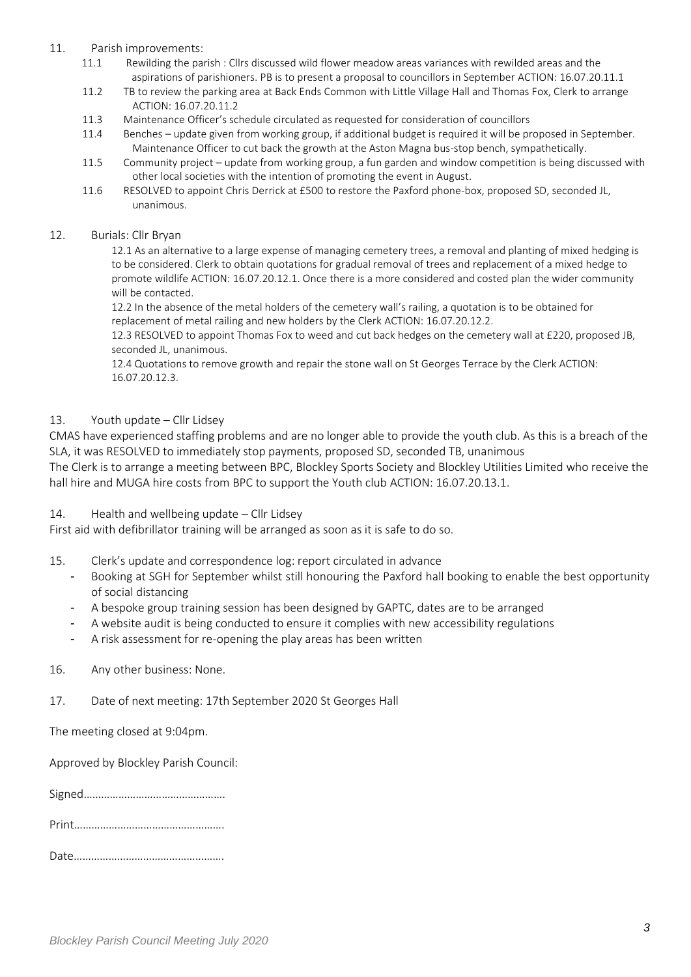#### 11. Parish improvements:

- 11.1 Rewilding the parish : Cllrs discussed wild flower meadow areas variances with rewilded areas and the aspirations of parishioners. PB is to present a proposal to councillors in September ACTION: 16.07.20.11.1
- 11.2 TB to review the parking area at Back Ends Common with Little Village Hall and Thomas Fox, Clerk to arrange ACTION: 16.07.20.11.2
- 11.3 Maintenance Officer's schedule circulated as requested for consideration of councillors
- 11.4 Benches update given from working group, if additional budget is required it will be proposed in September. Maintenance Officer to cut back the growth at the Aston Magna bus-stop bench, sympathetically.
- 11.5 Community project update from working group, a fun garden and window competition is being discussed with other local societies with the intention of promoting the event in August.
- 11.6 RESOLVED to appoint Chris Derrick at £500 to restore the Paxford phone-box, proposed SD, seconded JL, unanimous.

#### 12. Burials: Cllr Bryan

12.1 As an alternative to a large expense of managing cemetery trees, a removal and planting of mixed hedging is to be considered. Clerk to obtain quotations for gradual removal of trees and replacement of a mixed hedge to promote wildlife ACTION: 16.07.20.12.1. Once there is a more considered and costed plan the wider community will be contacted.

12.2 In the absence of the metal holders of the cemetery wall's railing, a quotation is to be obtained for replacement of metal railing and new holders by the Clerk ACTION: 16.07.20.12.2.

12.3 RESOLVED to appoint Thomas Fox to weed and cut back hedges on the cemetery wall at £220, proposed JB, seconded JL, unanimous.

12.4 Quotations to remove growth and repair the stone wall on St Georges Terrace by the Clerk ACTION: 16.07.20.12.3.

#### 13. Youth update – Cllr Lidsey

CMAS have experienced staffing problems and are no longer able to provide the youth club. As this is a breach of the SLA, it was RESOLVED to immediately stop payments, proposed SD, seconded TB, unanimous

The Clerk is to arrange a meeting between BPC, Blockley Sports Society and Blockley Utilities Limited who receive the hall hire and MUGA hire costs from BPC to support the Youth club ACTION: 16.07.20.13.1.

#### 14. Health and wellbeing update – Cllr Lidsey

First aid with defibrillator training will be arranged as soon as it is safe to do so.

- 15. Clerk's update and correspondence log: report circulated in advance
	- Booking at SGH for September whilst still honouring the Paxford hall booking to enable the best opportunity of social distancing
	- A bespoke group training session has been designed by GAPTC, dates are to be arranged
	- A website audit is being conducted to ensure it complies with new accessibility regulations
	- A risk assessment for re-opening the play areas has been written

#### 16. Any other business: None.

#### 17. Date of next meeting: 17th September 2020 St Georges Hall

The meeting closed at 9:04pm.

Approved by Blockley Parish Council:

|--|

|--|

|--|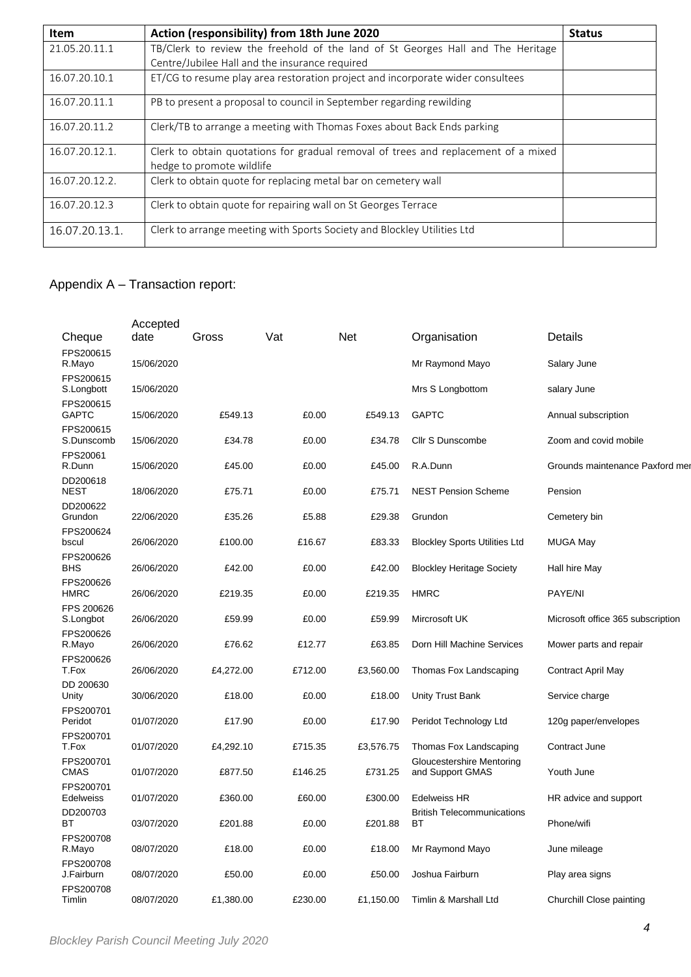| <b>Item</b>    | Action (responsibility) from 18th June 2020                                                                     | <b>Status</b> |
|----------------|-----------------------------------------------------------------------------------------------------------------|---------------|
| 21.05.20.11.1  | TB/Clerk to review the freehold of the land of St Georges Hall and The Heritage                                 |               |
|                | Centre/Jubilee Hall and the insurance required                                                                  |               |
| 16.07.20.10.1  | ET/CG to resume play area restoration project and incorporate wider consultees                                  |               |
| 16.07.20.11.1  | PB to present a proposal to council in September regarding rewilding                                            |               |
| 16.07.20.11.2  | Clerk/TB to arrange a meeting with Thomas Foxes about Back Ends parking                                         |               |
| 16.07.20.12.1. | Clerk to obtain quotations for gradual removal of trees and replacement of a mixed<br>hedge to promote wildlife |               |
|                |                                                                                                                 |               |
| 16.07.20.12.2. | Clerk to obtain quote for replacing metal bar on cemetery wall                                                  |               |
| 16.07.20.12.3  | Clerk to obtain quote for repairing wall on St Georges Terrace                                                  |               |
| 16.07.20.13.1. | Clerk to arrange meeting with Sports Society and Blockley Utilities Ltd                                         |               |

# Appendix A – Transaction report:

|                               | Accepted   |           |         |           |                                                      |                                   |
|-------------------------------|------------|-----------|---------|-----------|------------------------------------------------------|-----------------------------------|
| Cheque                        | date       | Gross     | Vat     | Net       | Organisation                                         | Details                           |
| FPS200615<br>R.Mayo           | 15/06/2020 |           |         |           | Mr Raymond Mayo                                      | Salary June                       |
| FPS200615<br>S.Longbott       | 15/06/2020 |           |         |           | Mrs S Longbottom                                     | salary June                       |
| FPS200615<br><b>GAPTC</b>     | 15/06/2020 | £549.13   | £0.00   | £549.13   | <b>GAPTC</b>                                         | Annual subscription               |
| FPS200615<br>S.Dunscomb       | 15/06/2020 | £34.78    | £0.00   | £34.78    | Cllr S Dunscombe                                     | Zoom and covid mobile             |
| FPS20061<br>R.Dunn            | 15/06/2020 | £45.00    | £0.00   | £45.00    | R.A.Dunn                                             | Grounds maintenance Paxford mer   |
| DD200618<br><b>NEST</b>       | 18/06/2020 | £75.71    | £0.00   | £75.71    | <b>NEST Pension Scheme</b>                           | Pension                           |
| DD200622<br>Grundon           | 22/06/2020 | £35.26    | £5.88   | £29.38    | Grundon                                              | Cemetery bin                      |
| FPS200624<br>bscul            | 26/06/2020 | £100.00   | £16.67  | £83.33    | <b>Blockley Sports Utilities Ltd</b>                 | <b>MUGA May</b>                   |
| FPS200626<br><b>BHS</b>       | 26/06/2020 | £42.00    | £0.00   | £42.00    | <b>Blockley Heritage Society</b>                     | Hall hire May                     |
| FPS200626<br><b>HMRC</b>      | 26/06/2020 | £219.35   | £0.00   | £219.35   | <b>HMRC</b>                                          | <b>PAYE/NI</b>                    |
| FPS 200626<br>S.Longbot       | 26/06/2020 | £59.99    | £0.00   | £59.99    | Mircrosoft UK                                        | Microsoft office 365 subscription |
| FPS200626                     |            |           |         |           |                                                      |                                   |
| R.Mayo<br>FPS200626           | 26/06/2020 | £76.62    | £12.77  | £63.85    | Dorn Hill Machine Services                           | Mower parts and repair            |
| T.Fox<br>DD 200630            | 26/06/2020 | £4,272.00 | £712.00 | £3,560.00 | Thomas Fox Landscaping                               | <b>Contract April May</b>         |
| Unity<br>FPS200701            | 30/06/2020 | £18.00    | £0.00   | £18.00    | <b>Unity Trust Bank</b>                              | Service charge                    |
| Peridot<br>FPS200701          | 01/07/2020 | £17.90    | £0.00   | £17.90    | Peridot Technology Ltd                               | 120g paper/envelopes              |
| T.Fox                         | 01/07/2020 | £4,292.10 | £715.35 | £3,576.75 | Thomas Fox Landscaping                               | Contract June                     |
| FPS200701<br><b>CMAS</b>      | 01/07/2020 | £877.50   | £146.25 | £731.25   | <b>Gloucestershire Mentoring</b><br>and Support GMAS | Youth June                        |
| FPS200701<br><b>Edelweiss</b> | 01/07/2020 | £360.00   | £60.00  | £300.00   | <b>Edelweiss HR</b>                                  | HR advice and support             |
| DD200703<br>ВT                | 03/07/2020 | £201.88   | £0.00   | £201.88   | <b>British Telecommunications</b><br>ВT              | Phone/wifi                        |
| FPS200708<br>R.Mayo           | 08/07/2020 | £18.00    | £0.00   | £18.00    | Mr Raymond Mayo                                      | June mileage                      |
| FPS200708<br>J.Fairburn       | 08/07/2020 | £50.00    | £0.00   | £50.00    | Joshua Fairburn                                      | Play area signs                   |
| FPS200708<br>Timlin           | 08/07/2020 | £1,380.00 | £230.00 | £1,150.00 | Timlin & Marshall Ltd                                | Churchill Close painting          |
|                               |            |           |         |           |                                                      |                                   |